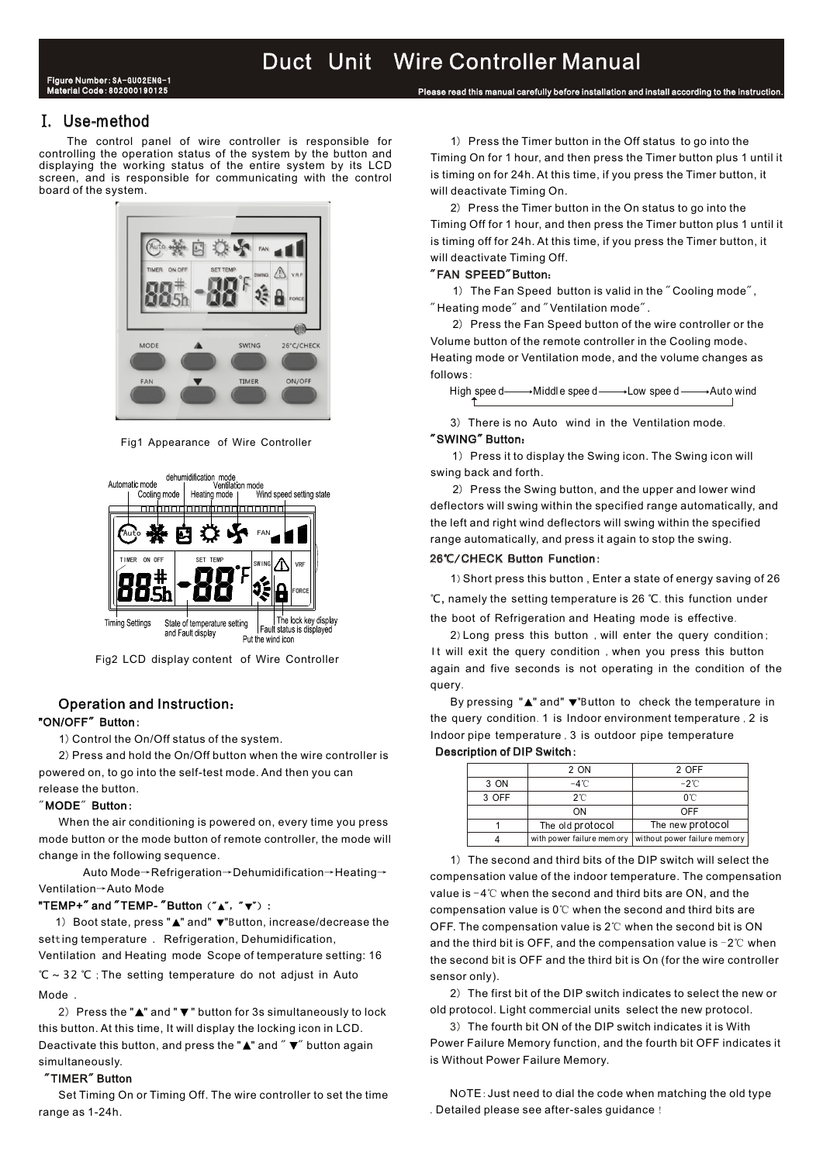## I. Use-method

The control panel of wire controller is responsible for controlling the operation status of the system by the button and<br>displaying the working status of the entire system by its LCD<br>screen, and is responsible for communicating with the control is timing on for 24h. At this tim screen, and is responsible for communicating with the control board of the system.



Fig1 Appearance of Wire Controller



Fig2 LCD display content of Wire Controller

# Operation and Instruction:

## "ON/OFF" Button:

1) Control the On/Off status of the system

2) Press and hold the On/Off button when the wire controller is **Description of DIP Switch**: powered on, to go into the self-test mode. And then you can release the button.

## $"$ MODE $"$  Button:

When the air conditioning is powered on, every time you press mode button or the mode button of remote controller, the mode will

Auto Mode→Refrigeration→Dehumidification→Heating→ Ventilation→ Auto Mode

## "TEMP+″ and ″TEMP- ″Button (″▲″, ″▼″) :

setting temperature .Refrigeration, Dehumidification, and the third bit is OFF, and the compensation value is −2℃ when<br>Ventilation\_and Heating\_mode\_Scope of temperature setting: 16 <sub>the second bit is OFF and the</sub> ℃ ~ 32 ℃ ; The setting temperature do not adjust in Auto sensor only). Mode 2 The first bit of the DIP switch indicates to select the new or 1) Boot state, press "▲" and"  $\nabla$ "Button, increase/decrease the setting temperature . Refrigeration. Dehumidification.  $\left( \frac{1}{2} \right)$ 

2) Press the "▲" and "▼" button for 3s simultaneously to lock old protocol. Light commercial units select the new protocol. this button. At this time, It will display the locking icon in LCD. simultaneously. **Support Contract Contract Contract Contract Contract Contract Contract Contract Contract Contract Contract Contract Contract Contract Contract Contract Contract Contract Contract Contract Contract Contract** 

## "TIMER" Button

range as 1-24h. **The same of the seeding of the seeding of the see after-sales guidance** !

will deactivate Timing On. 1) Press the Timer button in the Off status to go into the

Please read this manual carefully before installation and install according to the instruction.

2) Press the Timer button in the On status to go into the Timing Off for 1 hour, and then press the Timer button plus 1 until it is timing off for 24h. At this time, if you press the Timer button, it will deactivate Timing Off.

## "FAN SPEED"Button:

1) The Fan Speed button is valid in the "Cooling mode",  $"$  Heating mode" and  $"$  Ventilation mode".

2) Press the Fan Speed button of the wire controller or the Volume button of the remote controller in the Cooling mode 、 Heating mode or Ventilation mode, and the volume changes as follows :

High spee d- $\longrightarrow$ Middle spee d- $\longrightarrow$  Low spee d- $\longrightarrow$  Auto wind

3) There is no Auto wind in the Ventilation mode.

## "SWING" Button:

1) Press it to display the Swing icon. The Swing icon will swing back and forth.

2) Press the Swing button, and the upper and lower wind deflectors will swing within the specified range automatically, and the left and right wind deflectors will swing within the specified range automatically, and press it again to stop the swing.

## 26℃/CHECK Button Function:

1)Short press this button , Enter a state of energy saving of 26 ℃, namely the setting temperature is 26 ℃.this function under the boot of Refrigeration and Heating mode is effective.

2) Long press this button, will enter the query condition; It will exit the query condition, when you press this button again and five seconds is not operating in the condition of the query.

By pressing "A" and" v"Button to check the temperature in the query condition. 1 is Indoor environment temperature, 2 is Indoor pipe temperature , 3 is outdoor pipe temperature

### Description of DIP Switch:

|       | 2 ON             | 2 OFF                                                    |
|-------|------------------|----------------------------------------------------------|
| 3 ON  | $-4^{\circ}$ C   | $-2^{\circ}$                                             |
| 3 OFF | 2℃               | 0°C                                                      |
|       | ON               | OFF                                                      |
|       | The old protocol | The new protocol                                         |
|       |                  | with power failure memory   without power failure memory |
|       |                  |                                                          |

change in the following sequence. The second and third bits of the DIP switch will select the compensation value of the indoor temperature. The compensation value is -4℃ when the second and third bits are ON, and the compensation value is 0℃ when the second and third bits are OFF. The compensation value is 2℃ when the second bit is ON the second bit is OFF and the third bit is On (for the wire controller

Deactivate this button, and press the " $\blacktriangle$ " and " $\nabla$ " button again Power Failure Memory function, and the fourth bit OFF indicates it 3) The fourth bit ON of the DIP switch indicates it is With

Set Timing On or Timing Off. The wire controller to set the time NOTE: Just need to dial the code when matching the old type